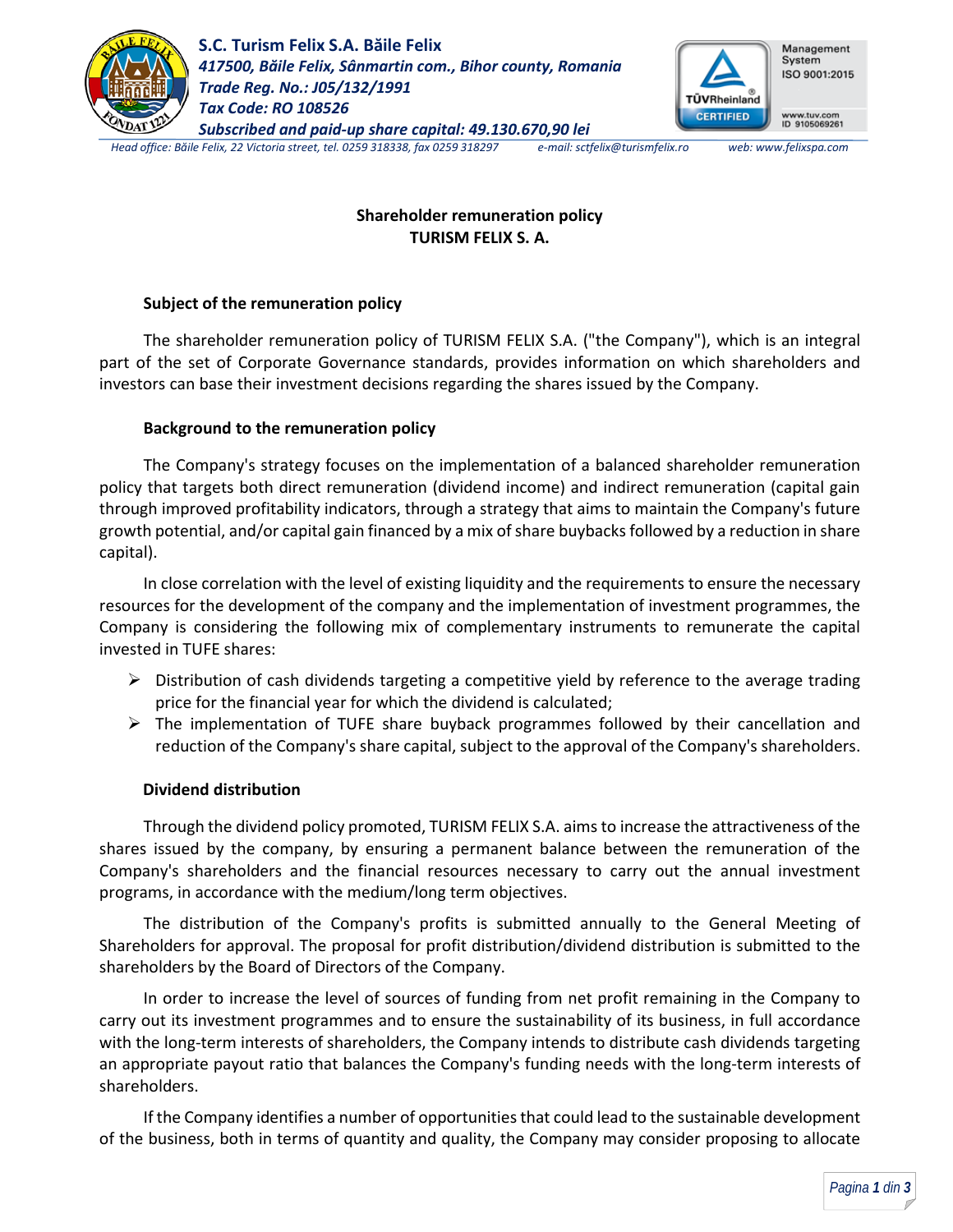

**S.C. Turism Felix S.A. Băile Felix** *417500, Băile Felix, Sânmartin com., Bihor county, Romania Trade Reg. No.: J05/132/1991 Tax Code: RO 108526 Subscribed and paid-up share capital: 49.130.670,90 lei*



www.tuv.com<br>ID 9105069261

*Head office: Băile Felix, 22 Victoria street, tel. 0259 318338, fax 0259 318297 e-mail: sctfelix@turismfelix.ro web: www.felixspa.com*

# **Shareholder remuneration policy TURISM FELIX S. A.**

## **Subject of the remuneration policy**

The shareholder remuneration policy of TURISM FELIX S.A. ("the Company"), which is an integral part of the set of Corporate Governance standards, provides information on which shareholders and investors can base their investment decisions regarding the shares issued by the Company.

## **Background to the remuneration policy**

The Company's strategy focuses on the implementation of a balanced shareholder remuneration policy that targets both direct remuneration (dividend income) and indirect remuneration (capital gain through improved profitability indicators, through a strategy that aims to maintain the Company's future growth potential, and/or capital gain financed by a mix of share buybacks followed by a reduction in share capital).

In close correlation with the level of existing liquidity and the requirements to ensure the necessary resources for the development of the company and the implementation of investment programmes, the Company is considering the following mix of complementary instruments to remunerate the capital invested in TUFE shares:

- $\triangleright$  Distribution of cash dividends targeting a competitive yield by reference to the average trading price for the financial year for which the dividend is calculated;
- $\triangleright$  The implementation of TUFE share buyback programmes followed by their cancellation and reduction of the Company's share capital, subject to the approval of the Company's shareholders.

### **Dividend distribution**

Through the dividend policy promoted, TURISM FELIX S.A. aims to increase the attractiveness of the shares issued by the company, by ensuring a permanent balance between the remuneration of the Company's shareholders and the financial resources necessary to carry out the annual investment programs, in accordance with the medium/long term objectives.

The distribution of the Company's profits is submitted annually to the General Meeting of Shareholders for approval. The proposal for profit distribution/dividend distribution is submitted to the shareholders by the Board of Directors of the Company.

In order to increase the level of sources of funding from net profit remaining in the Company to carry out its investment programmes and to ensure the sustainability of its business, in full accordance with the long-term interests of shareholders, the Company intends to distribute cash dividends targeting an appropriate payout ratio that balances the Company's funding needs with the long-term interests of shareholders.

If the Company identifies a number of opportunities that could lead to the sustainable development of the business, both in terms of quantity and quality, the Company may consider proposing to allocate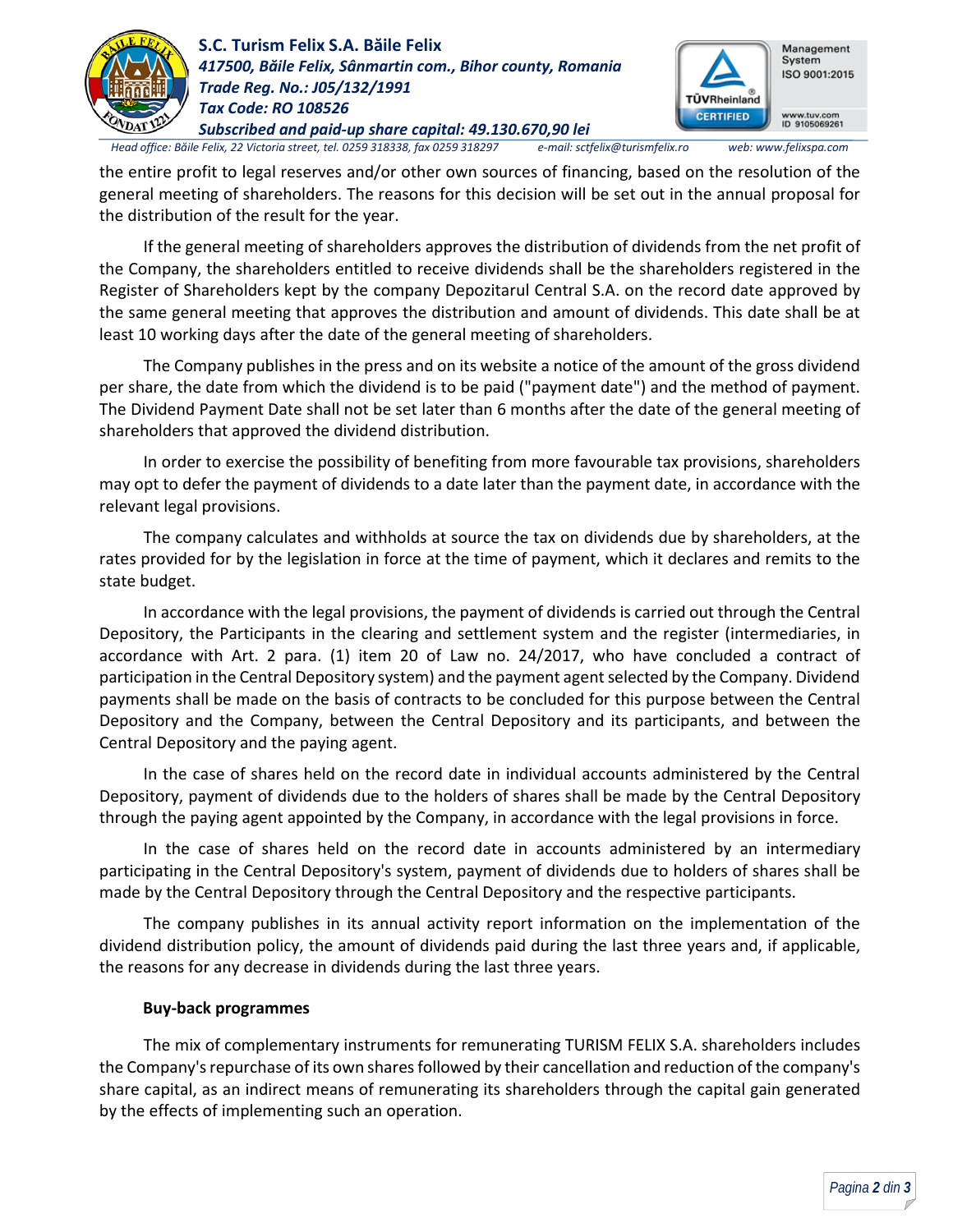

**S.C. Turism Felix S.A. Băile Felix** *417500, Băile Felix, Sânmartin com., Bihor county, Romania Trade Reg. No.: J05/132/1991 Tax Code: RO 108526*



*Subscribed and paid-up share capital: 49.130.670,90 lei Head office: Băile Felix, 22 Victoria street, tel. 0259 318338, fax 0259 318297 e-mail: sctfelix@turismfelix.ro web: www.felixspa.com*

the entire profit to legal reserves and/or other own sources of financing, based on the resolution of the general meeting of shareholders. The reasons for this decision will be set out in the annual proposal for the distribution of the result for the year.

If the general meeting of shareholders approves the distribution of dividends from the net profit of the Company, the shareholders entitled to receive dividends shall be the shareholders registered in the Register of Shareholders kept by the company Depozitarul Central S.A. on the record date approved by the same general meeting that approves the distribution and amount of dividends. This date shall be at least 10 working days after the date of the general meeting of shareholders.

The Company publishes in the press and on its website a notice of the amount of the gross dividend per share, the date from which the dividend is to be paid ("payment date") and the method of payment. The Dividend Payment Date shall not be set later than 6 months after the date of the general meeting of shareholders that approved the dividend distribution.

In order to exercise the possibility of benefiting from more favourable tax provisions, shareholders may opt to defer the payment of dividends to a date later than the payment date, in accordance with the relevant legal provisions.

The company calculates and withholds at source the tax on dividends due by shareholders, at the rates provided for by the legislation in force at the time of payment, which it declares and remits to the state budget.

In accordance with the legal provisions, the payment of dividends is carried out through the Central Depository, the Participants in the clearing and settlement system and the register (intermediaries, in accordance with Art. 2 para. (1) item 20 of Law no. 24/2017, who have concluded a contract of participation in the Central Depository system) and the payment agent selected by the Company. Dividend payments shall be made on the basis of contracts to be concluded for this purpose between the Central Depository and the Company, between the Central Depository and its participants, and between the Central Depository and the paying agent.

In the case of shares held on the record date in individual accounts administered by the Central Depository, payment of dividends due to the holders of shares shall be made by the Central Depository through the paying agent appointed by the Company, in accordance with the legal provisions in force.

In the case of shares held on the record date in accounts administered by an intermediary participating in the Central Depository's system, payment of dividends due to holders of shares shall be made by the Central Depository through the Central Depository and the respective participants.

The company publishes in its annual activity report information on the implementation of the dividend distribution policy, the amount of dividends paid during the last three years and, if applicable, the reasons for any decrease in dividends during the last three years.

## **Buy-back programmes**

The mix of complementary instruments for remunerating TURISM FELIX S.A. shareholders includes the Company's repurchase of its own shares followed by their cancellation and reduction of the company's share capital, as an indirect means of remunerating its shareholders through the capital gain generated by the effects of implementing such an operation.